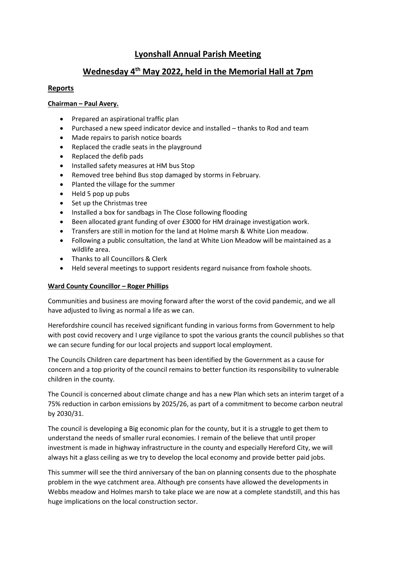# **Lyonshall Annual Parish Meeting**

# **Wednesday 4th May 2022, held in the Memorial Hall at 7pm**

# **Reports**

## **Chairman – Paul Avery.**

- Prepared an aspirational traffic plan
- Purchased a new speed indicator device and installed thanks to Rod and team
- Made repairs to parish notice boards
- Replaced the cradle seats in the playground
- Replaced the defib pads
- Installed safety measures at HM bus Stop
- Removed tree behind Bus stop damaged by storms in February.
- Planted the village for the summer
- Held 5 pop up pubs
- Set up the Christmas tree
- Installed a box for sandbags in The Close following flooding
- Been allocated grant funding of over £3000 for HM drainage investigation work.
- Transfers are still in motion for the land at Holme marsh & White Lion meadow.
- Following a public consultation, the land at White Lion Meadow will be maintained as a wildlife area.
- Thanks to all Councillors & Clerk
- Held several meetings to support residents regard nuisance from foxhole shoots.

## **Ward County Councillor – Roger Phillips**

Communities and business are moving forward after the worst of the covid pandemic, and we all have adjusted to living as normal a life as we can.

Herefordshire council has received significant funding in various forms from Government to help with post covid recovery and I urge vigilance to spot the various grants the council publishes so that we can secure funding for our local projects and support local employment.

The Councils Children care department has been identified by the Government as a cause for concern and a top priority of the council remains to better function its responsibility to vulnerable children in the county.

The Council is concerned about climate change and has a new Plan which sets an interim target of a 75% reduction in carbon emissions by 2025/26, as part of a commitment to become carbon neutral by 2030/31.

The council is developing a Big economic plan for the county, but it is a struggle to get them to understand the needs of smaller rural economies. I remain of the believe that until proper investment is made in highway infrastructure in the county and especially Hereford City, we will always hit a glass ceiling as we try to develop the local economy and provide better paid jobs.

This summer will see the third anniversary of the ban on planning consents due to the phosphate problem in the wye catchment area. Although pre consents have allowed the developments in Webbs meadow and Holmes marsh to take place we are now at a complete standstill, and this has huge implications on the local construction sector.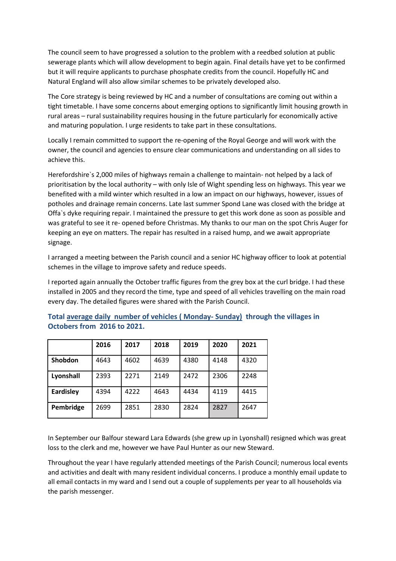The council seem to have progressed a solution to the problem with a reedbed solution at public sewerage plants which will allow development to begin again. Final details have yet to be confirmed but it will require applicants to purchase phosphate credits from the council. Hopefully HC and Natural England will also allow similar schemes to be privately developed also.

The Core strategy is being reviewed by HC and a number of consultations are coming out within a tight timetable. I have some concerns about emerging options to significantly limit housing growth in rural areas – rural sustainability requires housing in the future particularly for economically active and maturing population. I urge residents to take part in these consultations.

Locally I remain committed to support the re-opening of the Royal George and will work with the owner, the council and agencies to ensure clear communications and understanding on all sides to achieve this.

Herefordshire`s 2,000 miles of highways remain a challenge to maintain- not helped by a lack of prioritisation by the local authority – with only Isle of Wight spending less on highways. This year we benefited with a mild winter which resulted in a low an impact on our highways, however, issues of potholes and drainage remain concerns. Late last summer Spond Lane was closed with the bridge at Offa`s dyke requiring repair. I maintained the pressure to get this work done as soon as possible and was grateful to see it re- opened before Christmas. My thanks to our man on the spot Chris Auger for keeping an eye on matters. The repair has resulted in a raised hump, and we await appropriate signage.

I arranged a meeting between the Parish council and a senior HC highway officer to look at potential schemes in the village to improve safety and reduce speeds.

I reported again annually the October traffic figures from the grey box at the curl bridge. I had these installed in 2005 and they record the time, type and speed of all vehicles travelling on the main road every day. The detailed figures were shared with the Parish Council.

|                  | 2016 | 2017 | 2018 | 2019 | 2020 | 2021 |
|------------------|------|------|------|------|------|------|
| Shobdon          | 4643 | 4602 | 4639 | 4380 | 4148 | 4320 |
| Lyonshall        | 2393 | 2271 | 2149 | 2472 | 2306 | 2248 |
| <b>Eardisley</b> | 4394 | 4222 | 4643 | 4434 | 4119 | 4415 |
| Pembridge        | 2699 | 2851 | 2830 | 2824 | 2827 | 2647 |

**Total average daily number of vehicles ( Monday- Sunday) through the villages in Octobers from 2016 to 2021.**

In September our Balfour steward Lara Edwards (she grew up in Lyonshall) resigned which was great loss to the clerk and me, however we have Paul Hunter as our new Steward.

Throughout the year I have regularly attended meetings of the Parish Council; numerous local events and activities and dealt with many resident individual concerns. I produce a monthly email update to all email contacts in my ward and I send out a couple of supplements per year to all households via the parish messenger.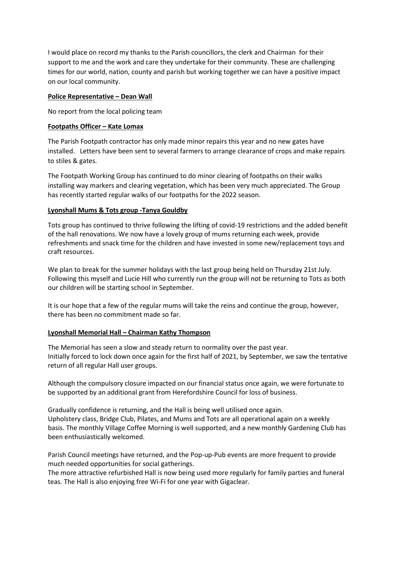I would place on record my thanks to the Parish councillors, the clerk and Chairman for their support to me and the work and care they undertake for their community. These are challenging times for our world, nation, county and parish but working together we can have a positive impact on our local community.

#### **Police Representative – Dean Wall**

No report from the local policing team

## **Footpaths Officer – Kate Lomax**

The Parish Footpath contractor has only made minor repairs this year and no new gates have installed. Letters have been sent to several farmers to arrange clearance of crops and make repairs to stiles & gates.

The Footpath Working Group has continued to do minor clearing of footpaths on their walks installing way markers and clearing vegetation, which has been very much appreciated. The Group has recently started regular walks of our footpaths for the 2022 season.

## **Lyonshall Mums & Tots group -Tanya Gouldby**

Tots group has continued to thrive following the lifting of covid-19 restrictions and the added benefit of the hall renovations. We now have a lovely group of mums returning each week, provide refreshments and snack time for the children and have invested in some new/replacement toys and craft resources.

We plan to break for the summer holidays with the last group being held on Thursday 21st July. Following this myself and Lucie Hill who currently run the group will not be returning to Tots as both our children will be starting school in September.

It is our hope that a few of the regular mums will take the reins and continue the group, however, there has been no commitment made so far.

#### **Lyonshall Memorial Hall – Chairman Kathy Thompson**

The Memorial has seen a slow and steady return to normality over the past year. Initially forced to lock down once again for the first half of 2021, by September, we saw the tentative return of all regular Hall user groups.

Although the compulsory closure impacted on our financial status once again, we were fortunate to be supported by an additional grant from Herefordshire Council for loss of business.

Gradually confidence is returning, and the Hall is being well utilised once again. Upholstery class, Bridge Club, Pilates, and Mums and Tots are all operational again on a weekly basis. The monthly Village Coffee Morning is well supported, and a new monthly Gardening Club has been enthusiastically welcomed.

Parish Council meetings have returned, and the Pop-up-Pub events are more frequent to provide much needed opportunities for social gatherings.

The more attractive refurbished Hall is now being used more regularly for family parties and funeral teas. The Hall is also enjoying free Wi-Fi for one year with Gigaclear.